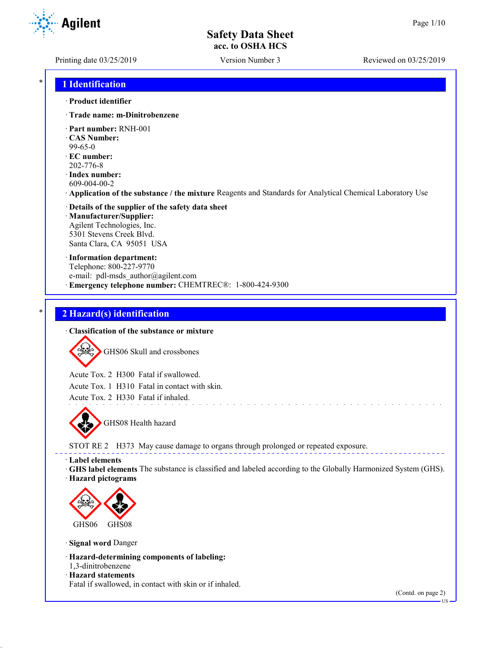**Agilent** 

Printing date 03/25/2019 Version Number 3 Reviewed on 03/25/2019

### \* **1 Identification**

#### · **Product identifier**

- · **Trade name: m-Dinitrobenzene**
- · **Part number:** RNH-001
- · **CAS Number:**
- 99-65-0
- · **EC number:** 202-776-8
- · **Index number:** 609-004-00-2
- · **Application of the substance / the mixture** Reagents and Standards for Analytical Chemical Laboratory Use

#### · **Details of the supplier of the safety data sheet** · **Manufacturer/Supplier:** Agilent Technologies, Inc. 5301 Stevens Creek Blvd. Santa Clara, CA 95051 USA

· **Information department:** Telephone: 800-227-9770 e-mail: pdl-msds author@agilent.com · **Emergency telephone number:** CHEMTREC®: 1-800-424-9300

## \* **2 Hazard(s) identification**

#### · **Classification of the substance or mixture**



Acute Tox. 2 H300 Fatal if swallowed.

Acute Tox. 1 H310 Fatal in contact with skin.

Acute Tox. 2 H330 Fatal if inhaled.



STOT RE 2 H373 May cause damage to organs through prolonged or repeated exposure.

· **Label elements**

· **GHS label elements** The substance is classified and labeled according to the Globally Harmonized System (GHS). · **Hazard pictograms**

and the state of the state of the



· **Signal word** Danger

- · **Hazard-determining components of labeling:**
- 1,3-dinitrobenzene · **Hazard statements**

Fatal if swallowed, in contact with skin or if inhaled.

(Contd. on page 2)

US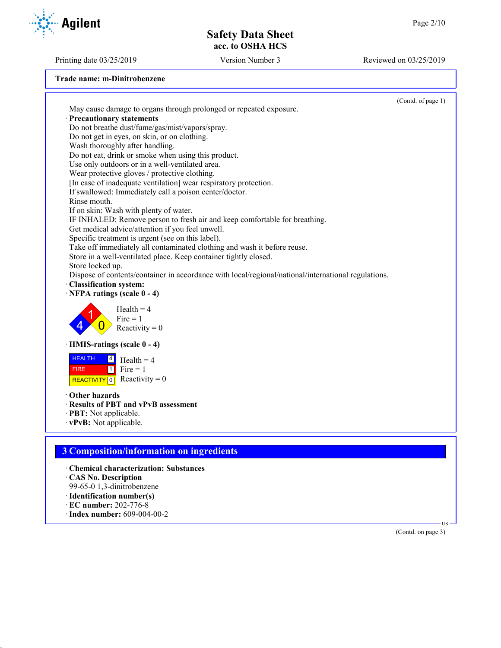Printing date 03/25/2019 Version Number 3 Reviewed on 03/25/2019

| Trade name: m-Dinitrobenzene |  |
|------------------------------|--|
|------------------------------|--|

|                                                                                                                           | (Contd. of page 1) |
|---------------------------------------------------------------------------------------------------------------------------|--------------------|
| May cause damage to organs through prolonged or repeated exposure.                                                        |                    |
| · Precautionary statements                                                                                                |                    |
| Do not breathe dust/fume/gas/mist/vapors/spray.                                                                           |                    |
| Do not get in eyes, on skin, or on clothing.                                                                              |                    |
| Wash thoroughly after handling.                                                                                           |                    |
| Do not eat, drink or smoke when using this product.                                                                       |                    |
| Use only outdoors or in a well-ventilated area.                                                                           |                    |
| Wear protective gloves / protective clothing.                                                                             |                    |
| [In case of inadequate ventilation] wear respiratory protection.                                                          |                    |
| If swallowed: Immediately call a poison center/doctor.                                                                    |                    |
| Rinse mouth.                                                                                                              |                    |
| If on skin: Wash with plenty of water.                                                                                    |                    |
| IF INHALED: Remove person to fresh air and keep comfortable for breathing.                                                |                    |
| Get medical advice/attention if you feel unwell.                                                                          |                    |
| Specific treatment is urgent (see on this label).                                                                         |                    |
| Take off immediately all contaminated clothing and wash it before reuse.                                                  |                    |
| Store in a well-ventilated place. Keep container tightly closed.                                                          |                    |
| Store locked up.                                                                                                          |                    |
| Dispose of contents/container in accordance with local/regional/national/international regulations.                       |                    |
| Classification system:                                                                                                    |                    |
| · NFPA ratings (scale 0 - 4)                                                                                              |                    |
| $Health = 4$<br>$Fire = 1$<br>Reactivity = $0$                                                                            |                    |
| · HMIS-ratings (scale 0 - 4)                                                                                              |                    |
| <b>HEALTH</b><br> 4 <br>$Health = 4$<br>$Fire = 1$<br>$\boxed{1}$<br><b>FIRE</b><br>REACTIVITY $\boxed{0}$ Reactivity = 0 |                    |
| Other hazards                                                                                                             |                    |
| · Results of PBT and vPvB assessment                                                                                      |                    |
| · PBT: Not applicable.                                                                                                    |                    |
| · vPvB: Not applicable.                                                                                                   |                    |
|                                                                                                                           |                    |
|                                                                                                                           |                    |
| <b>3 Composition/information on ingredients</b>                                                                           |                    |
| · Chemical characterization: Substances                                                                                   |                    |
| CAS No. Description                                                                                                       |                    |
| 99-65-0 1,3-dinitrobenzene                                                                                                |                    |
| · Identification number(s)                                                                                                |                    |
|                                                                                                                           |                    |

- · **EC number:** 202-776-8
- · **Index number:** 609-004-00-2

(Contd. on page 3)

US

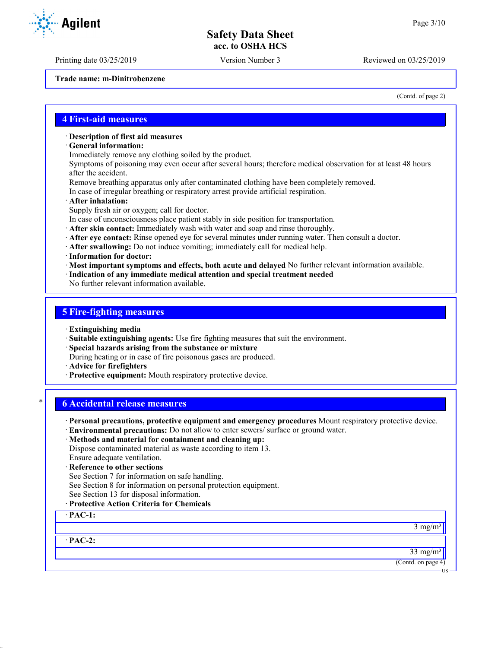Printing date 03/25/2019 Version Number 3 Reviewed on 03/25/2019

**Trade name: m-Dinitrobenzene**

(Contd. of page 2)

#### **4 First-aid measures**

#### · **Description of first aid measures**

- · **General information:**
- Immediately remove any clothing soiled by the product.

Symptoms of poisoning may even occur after several hours; therefore medical observation for at least 48 hours after the accident.

- Remove breathing apparatus only after contaminated clothing have been completely removed.
- In case of irregular breathing or respiratory arrest provide artificial respiration.
- · **After inhalation:**
- Supply fresh air or oxygen; call for doctor.
- In case of unconsciousness place patient stably in side position for transportation.
- · **After skin contact:** Immediately wash with water and soap and rinse thoroughly.
- · **After eye contact:** Rinse opened eye for several minutes under running water. Then consult a doctor.
- · **After swallowing:** Do not induce vomiting; immediately call for medical help.
- · **Information for doctor:**
- · **Most important symptoms and effects, both acute and delayed** No further relevant information available.
- · **Indication of any immediate medical attention and special treatment needed**

No further relevant information available.

## **5 Fire-fighting measures**

- · **Extinguishing media**
- · **Suitable extinguishing agents:** Use fire fighting measures that suit the environment.
- · **Special hazards arising from the substance or mixture**
- During heating or in case of fire poisonous gases are produced.
- · **Advice for firefighters**
- · **Protective equipment:** Mouth respiratory protective device.

### \* **6 Accidental release measures**

- · **Personal precautions, protective equipment and emergency procedures** Mount respiratory protective device.
- · **Environmental precautions:** Do not allow to enter sewers/ surface or ground water.
- · **Methods and material for containment and cleaning up:**

Dispose contaminated material as waste according to item 13. Ensure adequate ventilation.

- · **Reference to other sections**
- See Section 7 for information on safe handling.
- See Section 8 for information on personal protection equipment.
- See Section 13 for disposal information.
- · **Protective Action Criteria for Chemicals**

· **PAC-1:**

 $3$  mg/m<sup>3</sup>

· **PAC-2:**

 $33 \text{ mg/m}^3$ 

(Contd. on page 4) US

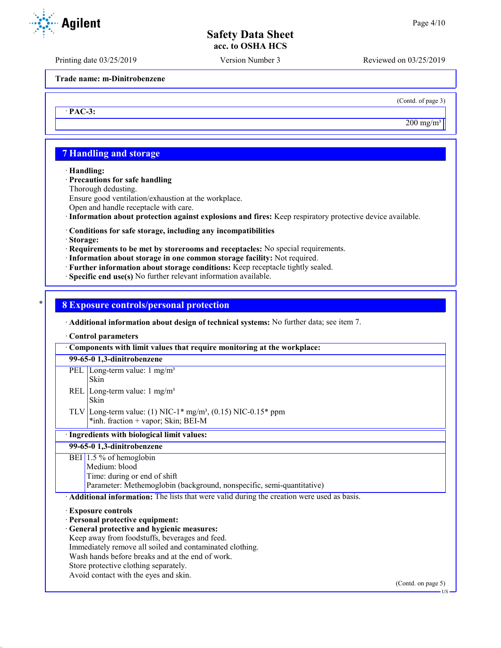Printing date 03/25/2019 Version Number 3 Reviewed on 03/25/2019

**Trade name: m-Dinitrobenzene**

(Contd. of page 3)

 $200 \text{ mg/m}^3$ 

US

## **7 Handling and storage**

· **Handling:**

· **PAC-3:**

· **Precautions for safe handling**

Thorough dedusting.

Ensure good ventilation/exhaustion at the workplace.

Open and handle receptacle with care.

· **Information about protection against explosions and fires:** Keep respiratory protective device available.

#### · **Conditions for safe storage, including any incompatibilities**

· **Storage:**

· **Requirements to be met by storerooms and receptacles:** No special requirements.

- · **Information about storage in one common storage facility:** Not required.
- · **Further information about storage conditions:** Keep receptacle tightly sealed.
- · **Specific end use(s)** No further relevant information available.

#### \* **8 Exposure controls/personal protection**

· **Additional information about design of technical systems:** No further data; see item 7.

· **Control parameters**

| Components with limit values that require monitoring at the workplace:                                 |
|--------------------------------------------------------------------------------------------------------|
| 99-65-0 1,3-dinitrobenzene                                                                             |
| PEL Long-term value: $1 \text{ mg/m}^3$<br>Skin                                                        |
| REL Long-term value: $1 \text{ mg/m}^3$<br>Skin                                                        |
| TLV Long-term value: (1) NIC-1* $mg/m^3$ , (0.15) NIC-0.15* ppm<br>*inh. fraction + vapor; Skin; BEI-M |
| · Ingredients with biological limit values:                                                            |
| 99-65-0 1,3-dinitrobenzene                                                                             |
| BEI $1.5%$ of hemoglobin                                                                               |
| Medium: blood                                                                                          |
| Time: during or end of shift                                                                           |
| Parameter: Methemoglobin (background, nonspecific, semi-quantitative)                                  |
| Additional information: The lists that were valid during the creation were used as basis.              |
| <b>Exposure controls</b>                                                                               |
| · Personal protective equipment:                                                                       |
| General protective and hygienic measures:                                                              |
| Keep away from foodstuffs, beverages and feed.                                                         |
| Immediately remove all soiled and contaminated clothing.                                               |
| Wash hands before breaks and at the end of work.                                                       |
| Store protective clothing separately.                                                                  |
| Avoid contact with the eyes and skin.                                                                  |
| (Contd. on page 5)                                                                                     |

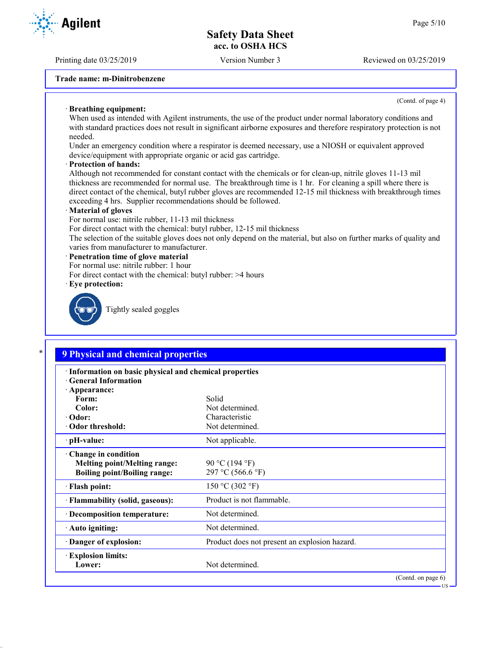Printing date 03/25/2019 Version Number 3 Reviewed on 03/25/2019

**Trade name: m-Dinitrobenzene**

(Contd. of page 4)

US

#### · **Breathing equipment:**

When used as intended with Agilent instruments, the use of the product under normal laboratory conditions and with standard practices does not result in significant airborne exposures and therefore respiratory protection is not needed.

Under an emergency condition where a respirator is deemed necessary, use a NIOSH or equivalent approved device/equipment with appropriate organic or acid gas cartridge.

#### · **Protection of hands:**

Although not recommended for constant contact with the chemicals or for clean-up, nitrile gloves 11-13 mil thickness are recommended for normal use. The breakthrough time is 1 hr. For cleaning a spill where there is direct contact of the chemical, butyl rubber gloves are recommended 12-15 mil thickness with breakthrough times exceeding 4 hrs. Supplier recommendations should be followed.

#### · **Material of gloves**

For normal use: nitrile rubber, 11-13 mil thickness

For direct contact with the chemical: butyl rubber, 12-15 mil thickness

The selection of the suitable gloves does not only depend on the material, but also on further marks of quality and varies from manufacturer to manufacturer.

#### · **Penetration time of glove material**

- For normal use: nitrile rubber: 1 hour
- For direct contact with the chemical: butyl rubber: >4 hours
- · **Eye protection:**



Tightly sealed goggles

# \* **9 Physical and chemical properties**

| · Information on basic physical and chemical properties<br><b>Ceneral Information</b>             |                                               |
|---------------------------------------------------------------------------------------------------|-----------------------------------------------|
| · Appearance:<br>Form:                                                                            | Solid                                         |
| Color:                                                                                            | Not determined.                               |
| $\cdot$ Odor:                                                                                     | Characteristic                                |
| Odor threshold:                                                                                   | Not determined.                               |
| $\cdot$ pH-value:                                                                                 | Not applicable.                               |
| Change in condition<br><b>Melting point/Melting range:</b><br><b>Boiling point/Boiling range:</b> | 90 °C (194 °F)<br>297 °C (566.6 °F)           |
| · Flash point:                                                                                    | 150 °C (302 °F)                               |
| · Flammability (solid, gaseous):                                                                  | Product is not flammable.                     |
| · Decomposition temperature:                                                                      | Not determined.                               |
| · Auto igniting:                                                                                  | Not determined.                               |
| Danger of explosion:                                                                              | Product does not present an explosion hazard. |
| <b>Explosion limits:</b><br>Lower:                                                                | Not determined.                               |
|                                                                                                   | (Contd. on page $6$ )                         |

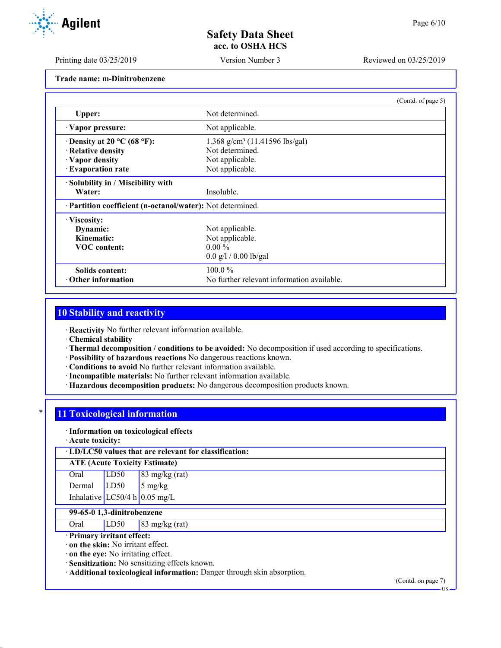Printing date 03/25/2019 Version Number 3 Reviewed on 03/25/2019

**Trade name: m-Dinitrobenzene**

|                                                            | (Contd. of page 5)                           |  |
|------------------------------------------------------------|----------------------------------------------|--|
| Upper:                                                     | Not determined.                              |  |
| Vapor pressure:                                            | Not applicable.                              |  |
| $\cdot$ Density at 20 °C (68 °F):                          | $1.368$ g/cm <sup>3</sup> (11.41596 lbs/gal) |  |
| · Relative density                                         | Not determined.                              |  |
| · Vapor density                                            | Not applicable.                              |  |
| · Evaporation rate                                         | Not applicable.                              |  |
| · Solubility in / Miscibility with                         |                                              |  |
| Water:                                                     | Insoluble.                                   |  |
| · Partition coefficient (n-octanol/water): Not determined. |                                              |  |
| · Viscosity:                                               |                                              |  |
| Dynamic:                                                   | Not applicable.                              |  |
| Kinematic:                                                 | Not applicable.                              |  |
| <b>VOC</b> content:                                        | $0.00\%$                                     |  |
|                                                            | $0.0$ g/l / 0.00 lb/gal                      |  |
| Solids content:                                            | $100.0\%$                                    |  |
| Other information                                          | No further relevant information available.   |  |

## **10 Stability and reactivity**

· **Reactivity** No further relevant information available.

· **Chemical stability**

- · **Thermal decomposition / conditions to be avoided:** No decomposition if used according to specifications.
- · **Possibility of hazardous reactions** No dangerous reactions known.
- · **Conditions to avoid** No further relevant information available.
- · **Incompatible materials:** No further relevant information available.
- · **Hazardous decomposition products:** No dangerous decomposition products known.

# **11 Toxicological information**

#### · **Information on toxicological effects**

· **Acute toxicity:**

· **LD/LC50 values that are relevant for classification:**

#### **ATE (Acute Toxicity Estimate)**

| Oral   | LD50 | $83 \text{ mg/kg}$ (rat)    |
|--------|------|-----------------------------|
| Dermal | LD50 | $\frac{5 \text{ mg/kg}}{2}$ |

# Inhalative  $LC50/4$  h 0.05 mg/L

# **99-65-0 1,3-dinitrobenzene**

Oral LD50 83 mg/kg (rat)

## · **Primary irritant effect:**

· **on the skin:** No irritant effect.

· **on the eye:** No irritating effect.

· **Sensitization:** No sensitizing effects known.

· **Additional toxicological information:** Danger through skin absorption.

(Contd. on page 7)



US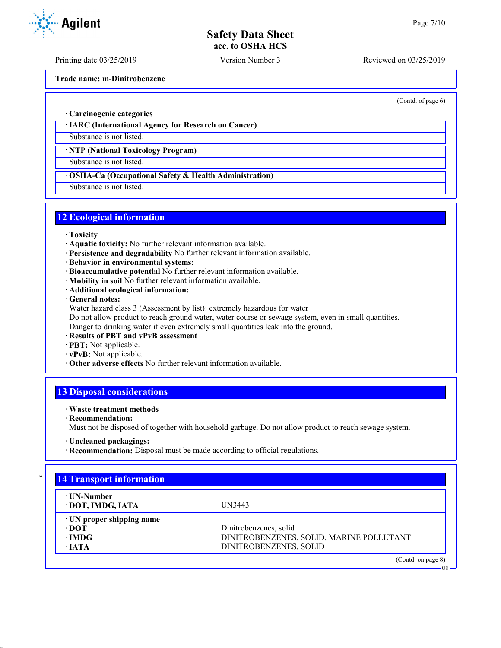Printing date 03/25/2019 Version Number 3 Reviewed on 03/25/2019

**Trade name: m-Dinitrobenzene**

(Contd. of page 6)

· **Carcinogenic categories**

· **IARC (International Agency for Research on Cancer)**

Substance is not listed.

· **NTP (National Toxicology Program)**

Substance is not listed.

· **OSHA-Ca (Occupational Safety & Health Administration)**

Substance is not listed.

## **12 Ecological information**

- · **Toxicity**
- · **Aquatic toxicity:** No further relevant information available.
- · **Persistence and degradability** No further relevant information available.
- · **Behavior in environmental systems:**
- · **Bioaccumulative potential** No further relevant information available.
- · **Mobility in soil** No further relevant information available.
- · **Additional ecological information:**

· **General notes:**

Water hazard class 3 (Assessment by list): extremely hazardous for water

Do not allow product to reach ground water, water course or sewage system, even in small quantities.

Danger to drinking water if even extremely small quantities leak into the ground.

- · **Results of PBT and vPvB assessment**
- · **PBT:** Not applicable.
- · **vPvB:** Not applicable.
- · **Other adverse effects** No further relevant information available.

## **13 Disposal considerations**

#### · **Waste treatment methods**

· **Recommendation:**

Must not be disposed of together with household garbage. Do not allow product to reach sewage system.

· **Recommendation:** Disposal must be made according to official regulations.

| ⋅ UN-Number                     |                                          |
|---------------------------------|------------------------------------------|
| · DOT, IMDG, IATA               | UN3443                                   |
| $\cdot$ UN proper shipping name |                                          |
| ∙ DOT                           | Dinitrobenzenes, solid                   |
| $\cdot$ IMDG                    | DINITROBENZENES, SOLID, MARINE POLLUTANT |
| $\cdot$ JATA                    | DINITROBENZENES, SOLID                   |



<sup>·</sup> **Uncleaned packagings:**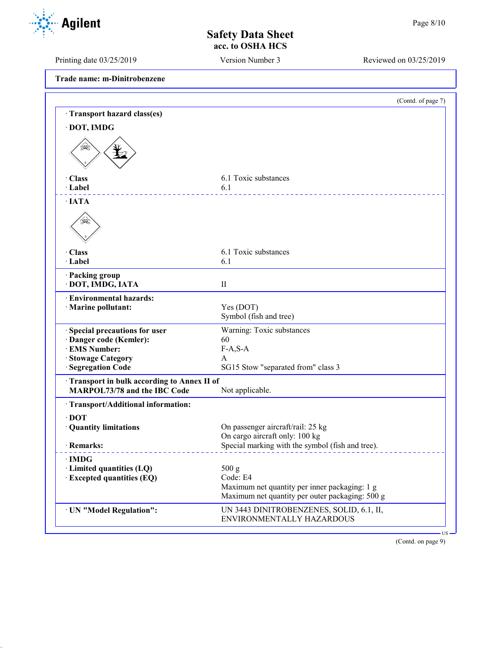Printing date 03/25/2019 Version Number 3 Reviewed on 03/25/2019

**Trade name: m-Dinitrobenzene**

|                                                                            | (Contd. of page 7)                               |
|----------------------------------------------------------------------------|--------------------------------------------------|
| · Transport hazard class(es)                                               |                                                  |
| · DOT, IMDG                                                                |                                                  |
| ⇘                                                                          |                                                  |
| · Class                                                                    | 6.1 Toxic substances                             |
| · Label                                                                    | 6.1                                              |
| $\cdot$ IATA                                                               |                                                  |
| ≸≹                                                                         |                                                  |
| · Class                                                                    | 6.1 Toxic substances                             |
| · Label                                                                    | 6.1                                              |
| · Packing group<br>· DOT, IMDG, IATA                                       | $\mathbf{I}$                                     |
| · Environmental hazards:<br>· Marine pollutant:                            | Yes (DOT)<br>Symbol (fish and tree)              |
| · Special precautions for user                                             | Warning: Toxic substances                        |
| · Danger code (Kemler):                                                    | 60                                               |
| · EMS Number:                                                              | $F-A, S-A$                                       |
| · Stowage Category<br>· Segregation Code                                   | A<br>SG15 Stow "separated from" class 3          |
|                                                                            |                                                  |
| Transport in bulk according to Annex II of<br>MARPOL73/78 and the IBC Code | Not applicable.                                  |
| · Transport/Additional information:                                        |                                                  |
| $\cdot$ DOT                                                                |                                                  |
| · Quantity limitations                                                     | On passenger aircraft/rail: 25 kg                |
|                                                                            | On cargo aircraft only: 100 kg                   |
| · Remarks:                                                                 | Special marking with the symbol (fish and tree). |
| $\cdot$ IMDG                                                               |                                                  |
| $\cdot$ Limited quantities (LQ)                                            | 500 g<br>Code: E4                                |
| · Excepted quantities (EQ)                                                 | Maximum net quantity per inner packaging: 1 g    |
|                                                                            | Maximum net quantity per outer packaging: 500 g  |
| · UN "Model Regulation":                                                   | UN 3443 DINITROBENZENES, SOLID, 6.1, II,         |
|                                                                            | ENVIRONMENTALLY HAZARDOUS                        |

(Contd. on page 9)

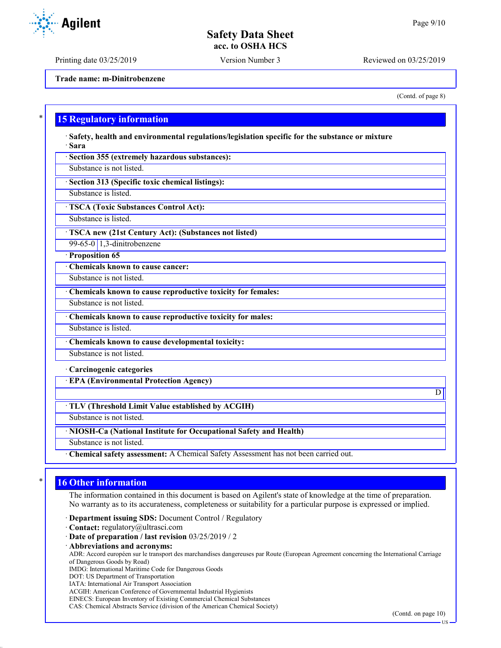Printing date 03/25/2019 Version Number 3 Reviewed on 03/25/2019

**Trade name: m-Dinitrobenzene**

(Contd. of page 8)

### **15 Regulatory information**

· **Safety, health and environmental regulations/legislation specific for the substance or mixture** · **Sara**

· **Section 355 (extremely hazardous substances):**

Substance is not listed.

· **Section 313 (Specific toxic chemical listings):**

Substance is listed.

· **TSCA (Toxic Substances Control Act):**

Substance is listed.

· **TSCA new (21st Century Act): (Substances not listed)**

99-65-0 1,3-dinitrobenzene

· **Proposition 65**

· **Chemicals known to cause cancer:**

Substance is not listed.

· **Chemicals known to cause reproductive toxicity for females:**

Substance is not listed.

· **Chemicals known to cause reproductive toxicity for males:**

Substance is listed.

· **Chemicals known to cause developmental toxicity:**

Substance is not listed.

· **Carcinogenic categories**

· **EPA (Environmental Protection Agency)**

· **TLV (Threshold Limit Value established by ACGIH)**

Substance is not listed.

· **NIOSH-Ca (National Institute for Occupational Safety and Health)**

Substance is not listed.

· **Chemical safety assessment:** A Chemical Safety Assessment has not been carried out.

## **16 Other information**

The information contained in this document is based on Agilent's state of knowledge at the time of preparation. No warranty as to its accurateness, completeness or suitability for a particular purpose is expressed or implied.

· **Department issuing SDS:** Document Control / Regulatory

· **Contact:** regulatory@ultrasci.com

· **Date of preparation / last revision** 03/25/2019 / 2

· **Abbreviations and acronyms:**

ADR: Accord européen sur le transport des marchandises dangereuses par Route (European Agreement concerning the International Carriage of Dangerous Goods by Road)

IMDG: International Maritime Code for Dangerous Goods

- DOT: US Department of Transportation
- IATA: International Air Transport Association

ACGIH: American Conference of Governmental Industrial Hygienists

EINECS: European Inventory of Existing Commercial Chemical Substances

CAS: Chemical Abstracts Service (division of the American Chemical Society)

(Contd. on page 10)

D